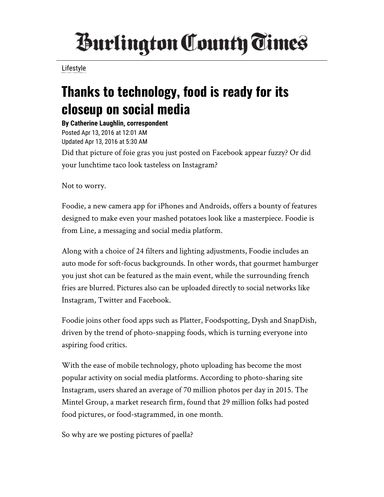## *<u>Burlington County Times</u>*

[Lifestyle](http://www.burlingtoncountytimes.com/search?text=Lifestyle)

## Thanks to technology, food is ready for its closeup on social media

By Catherine Laughlin, correspondent Posted Apr 13, 2016 at 12:01 AM Updated Apr 13, 2016 at 5:30 AM Did that picture of foie gras you just posted on Facebook appear fuzzy? Or did your lunchtime taco look tasteless on Instagram?

Not to worry.

Foodie, a new camera app for iPhones and Androids, offers a bounty of features designed to make even your mashed potatoes look like a masterpiece. Foodie is from Line, a messaging and social media platform.

Along with a choice of 24 filters and lighting adjustments, Foodie includes an auto mode for soft-focus backgrounds. In other words, that gourmet hamburger you just shot can be featured as the main event, while the surrounding french fries are blurred. Pictures also can be uploaded directly to social networks like Instagram, Twitter and Facebook.

Foodie joins other food apps such as Platter, Foodspotting, Dysh and SnapDish, driven by the trend of photo-snapping foods, which is turning everyone into aspiring food critics.

With the ease of mobile technology, photo uploading has become the most popular activity on social media platforms. According to photo-sharing site Instagram, users shared an average of 70 million photos per day in 2015. The Mintel Group, a market research firm, found that 29 million folks had posted food pictures, or food-stagrammed, in one month.

So why are we posting pictures of paella?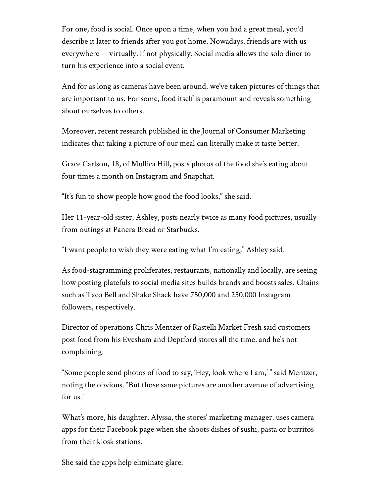For one, food is social. Once upon a time, when you had a great meal, you'd describe it later to friends after you got home. Nowadays, friends are with us everywhere -- virtually, if not physically. Social media allows the solo diner to turn his experience into a social event.

And for as long as cameras have been around, we've taken pictures of things that are important to us. For some, food itself is paramount and reveals something about ourselves to others.

Moreover, recent research published in the Journal of Consumer Marketing indicates that taking a picture of our meal can literally make it taste better.

Grace Carlson, 18, of Mullica Hill, posts photos of the food she's eating about four times a month on Instagram and Snapchat.

"It's fun to show people how good the food looks," she said.

Her 11-year-old sister, Ashley, posts nearly twice as many food pictures, usually from outings at Panera Bread or Starbucks.

"I want people to wish they were eating what I'm eating," Ashley said.

As food-stagramming proliferates, restaurants, nationally and locally, are seeing how posting platefuls to social media sites builds brands and boosts sales. Chains such as Taco Bell and Shake Shack have 750,000 and 250,000 Instagram followers, respectively.

Director of operations Chris Mentzer of Rastelli Market Fresh said customers post food from his Evesham and Deptford stores all the time, and he's not complaining.

"Some people send photos of food to say, 'Hey, look where I am,' " said Mentzer, noting the obvious. "But those same pictures are another avenue of advertising for us."

What's more, his daughter, Alyssa, the stores' marketing manager, uses camera apps for their Facebook page when she shoots dishes of sushi, pasta or burritos from their kiosk stations.

She said the apps help eliminate glare.